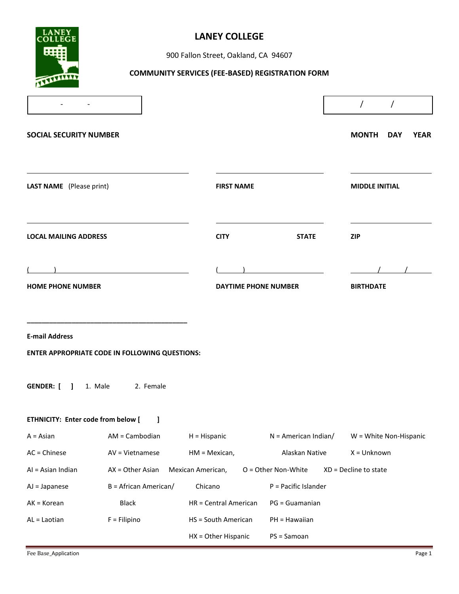

# **LANEY COLLEGE**

900 Fallon Street, Oakland, CA 94607

# **COMMUNITY SERVICES (FEE-BASED) REGISTRATION FORM**

|                               |                                                       |                       |                             | $\sqrt{2}$<br>$\sqrt{2}$           |
|-------------------------------|-------------------------------------------------------|-----------------------|-----------------------------|------------------------------------|
| <b>SOCIAL SECURITY NUMBER</b> |                                                       |                       |                             | <b>MONTH</b><br><b>YEAR</b><br>DAY |
| LAST NAME (Please print)      |                                                       | <b>FIRST NAME</b>     |                             | <b>MIDDLE INITIAL</b>              |
| <b>LOCAL MAILING ADDRESS</b>  |                                                       | <b>CITY</b>           | <b>STATE</b>                | <b>ZIP</b>                         |
|                               | <u>and the state of the state of the state of</u>     |                       |                             |                                    |
| <b>HOME PHONE NUMBER</b>      |                                                       |                       | <b>DAYTIME PHONE NUMBER</b> | <b>BIRTHDATE</b>                   |
| <b>E-mail Address</b>         | <b>ENTER APPROPRIATE CODE IN FOLLOWING QUESTIONS:</b> |                       |                             |                                    |
|                               | <b>GENDER:</b> [ ] 1. Male 2. Female                  |                       |                             |                                    |
|                               | ETHNICITY: Enter code from below [ ]                  |                       |                             |                                    |
| $A = Asian$                   | AM = Cambodian                                        | $H = H$ ispanic       | $N =$ American Indian/      | W = White Non-Hispanic             |
| $AC = Chinese$                | AV = Vietnamese                                       | $HM = Mexican,$       | Alaskan Native              | X = Unknown                        |
| Al = Asian Indian             | $AX = Other Asian$                                    | Mexican American,     | O = Other Non-White         | XD = Decline to state              |
| $AJ = Japanese$               | $B =$ African American/                               | Chicano               | P = Pacific Islander        |                                    |
| $AK = Korean$                 | <b>Black</b>                                          | HR = Central American | PG = Guamanian              |                                    |
| AL = Laotian                  | $F = Filipino$                                        | HS = South American   | PH = Hawaiian               |                                    |
|                               |                                                       | HX = Other Hispanic   | PS = Samoan                 |                                    |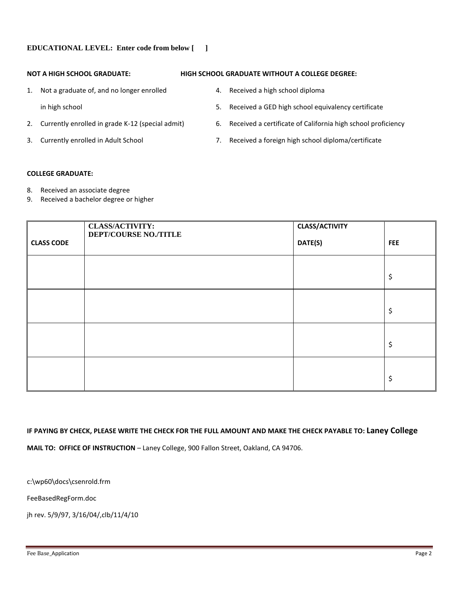## **EDUCATIONAL LEVEL: Enter code from below [ ]**

- 1. Not a graduate of, and no longer enrolled 4. Received a high school diploma
	-
- 
- 
- **NOT A HIGH SCHOOL GRADUATE: HIGH SCHOOL GRADUATE WITHOUT A COLLEGE DEGREE:**
	-
	- in high school 5. Received a GED high school equivalency certificate
- 2. Currently enrolled in grade K-12 (special admit) 6. Received a certificate of California high school proficiency
- 3. Currently enrolled in Adult School 7. Received a foreign high school diploma/certificate

## **COLLEGE GRADUATE:**

- 8. Received an associate degree
- 9. Received a bachelor degree or higher

|                   | <b>CLASS/ACTIVITY:</b><br><b>DEPT/COURSE NO./TITLE</b> | <b>CLASS/ACTIVITY</b> |            |
|-------------------|--------------------------------------------------------|-----------------------|------------|
| <b>CLASS CODE</b> |                                                        | DATE(S)               | <b>FEE</b> |
|                   |                                                        |                       |            |
|                   |                                                        |                       | \$         |
|                   |                                                        |                       |            |
|                   |                                                        |                       | \$         |
|                   |                                                        |                       |            |
|                   |                                                        |                       | \$         |
|                   |                                                        |                       |            |
|                   |                                                        |                       | \$         |

## **IF PAYING BY CHECK, PLEASE WRITE THE CHECK FOR THE FULL AMOUNT AND MAKE THE CHECK PAYABLE TO: Laney College**

**MAIL TO: OFFICE OF INSTRUCTION** – Laney College, 900 Fallon Street, Oakland, CA 94706.

c:\wp60\docs\csenrold.frm

FeeBasedRegForm.doc

jh rev. 5/9/97, 3/16/04/,clb/11/4/10